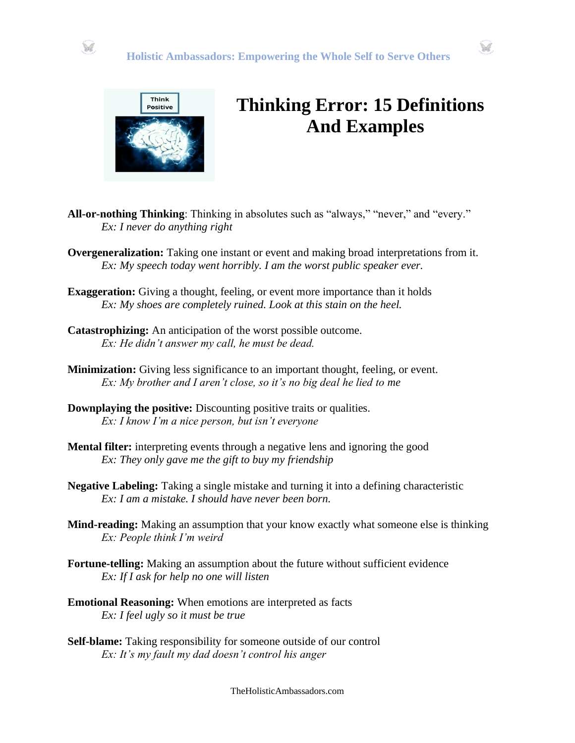





## **Thinking Error: 15 Definitions And Examples**

- **All-or-nothing Thinking**: Thinking in absolutes such as "always," "never," and "every." *Ex: I never do anything right*
- **Overgeneralization:** Taking one instant or event and making broad interpretations from it. *Ex: My speech today went horribly. I am the worst public speaker ever.*
- **Exaggeration:** Giving a thought, feeling, or event more importance than it holds *Ex: My shoes are completely ruined. Look at this stain on the heel.*
- **Catastrophizing:** An anticipation of the worst possible outcome. *Ex: He didn't answer my call, he must be dead.*
- **Minimization:** Giving less significance to an important thought, feeling, or event. *Ex: My brother and I aren't close, so it's no big deal he lied to me*
- **Downplaying the positive:** Discounting positive traits or qualities. *Ex: I know I'm a nice person, but isn't everyone*
- **Mental filter:** interpreting events through a negative lens and ignoring the good *Ex: They only gave me the gift to buy my friendship*
- **Negative Labeling:** Taking a single mistake and turning it into a defining characteristic *Ex: I am a mistake. I should have never been born.*
- **Mind-reading:** Making an assumption that your know exactly what someone else is thinking *Ex: People think I'm weird*
- **Fortune-telling:** Making an assumption about the future without sufficient evidence *Ex: If I ask for help no one will listen*
- **Emotional Reasoning:** When emotions are interpreted as facts *Ex: I feel ugly so it must be true*
- **Self-blame:** Taking responsibility for someone outside of our control *Ex: It's my fault my dad doesn't control his anger*

TheHolisticAmbassadors.com